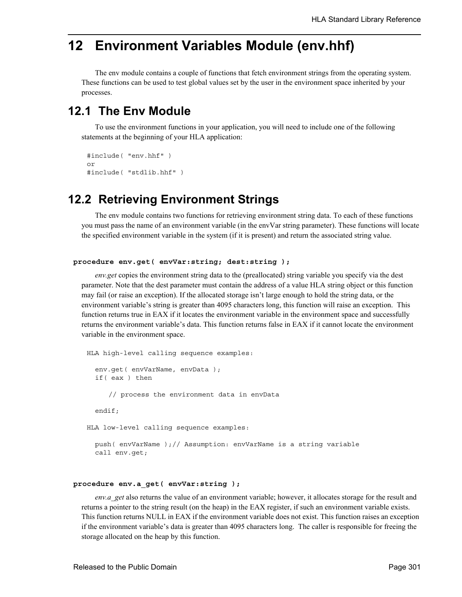## **12 Environment Variables Module (env.hhf)**

The env module contains a couple of functions that fetch environment strings from the operating system. These functions can be used to test global values set by the user in the environment space inherited by your processes.

## **12.1 The Env Module**

To use the environment functions in your application, you will need to include one of the following statements at the beginning of your HLA application:

```
#include( "env.hhf" )
or
#include( "stdlib.hhf" )
```
## **12.2 Retrieving Environment Strings**

The env module contains two functions for retrieving environment string data. To each of these functions you must pass the name of an environment variable (in the envVar string parameter). These functions will locate the specified environment variable in the system (if it is present) and return the associated string value.

```
procedure env.get( envVar:string; dest:string );
```
*env.get* copies the environment string data to the (preallocated) string variable you specify via the dest parameter. Note that the dest parameter must contain the address of a value HLA string object or this function may fail (or raise an exception). If the allocated storage isn't large enough to hold the string data, or the environment variable's string is greater than 4095 characters long, this function will raise an exception. This function returns true in EAX if it locates the environment variable in the environment space and successfully returns the environment variable's data. This function returns false in EAX if it cannot locate the environment variable in the environment space.

```
HLA high-level calling sequence examples:
  env.get( envVarName, envData );
  if( eax ) then
     // process the environment data in envData
  endif;
HLA low-level calling sequence examples:
 push( envVarName );// Assumption: envVarName is a string variable
  call env.get;
```
## **procedure env.a\_get( envVar:string );**

*env.a\_get* also returns the value of an environment variable; however, it allocates storage for the result and returns a pointer to the string result (on the heap) in the EAX register, if such an environment variable exists. This function returns NULL in EAX if the environment variable does not exist. This function raises an exception if the environment variable's data is greater than 4095 characters long. The caller is responsible for freeing the storage allocated on the heap by this function.